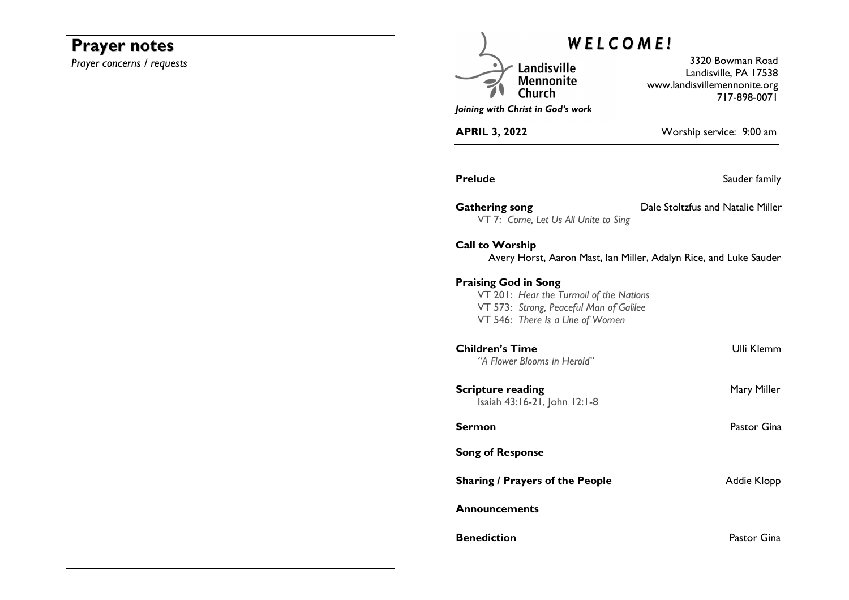# **Prayer notes**

*Prayer concerns / requests* 

| WELCOME!                                                                                                                                              |                                                                                           |  |
|-------------------------------------------------------------------------------------------------------------------------------------------------------|-------------------------------------------------------------------------------------------|--|
| Landisville<br><b>Mennonite</b><br>Joining with Christ in God's work                                                                                  | 3320 Bowman Road<br>Landisville, PA 17538<br>www.landisvillemennonite.org<br>717-898-0071 |  |
| <b>APRIL 3, 2022</b>                                                                                                                                  | Worship service: 9:00 am                                                                  |  |
| Prelude                                                                                                                                               | Sauder family                                                                             |  |
| <b>Gathering song</b><br>VT 7: Come, Let Us All Unite to Sing                                                                                         | Dale Stoltzfus and Natalie Miller                                                         |  |
| <b>Call to Worship</b>                                                                                                                                | Avery Horst, Aaron Mast, Ian Miller, Adalyn Rice, and Luke Sauder                         |  |
| <b>Praising God in Song</b><br>VT 201: Hear the Turmoil of the Nations<br>VT 573: Strong, Peaceful Man of Galilee<br>VT 546: There Is a Line of Women |                                                                                           |  |
| <b>Children's Time</b><br>"A Flower Blooms in Herold"                                                                                                 | <b>Ulli Klemm</b>                                                                         |  |
| <b>Scripture reading</b><br>Isaiah 43:16-21, John 12:1-8                                                                                              | Mary Miller                                                                               |  |
| Sermon                                                                                                                                                | Pastor Gina                                                                               |  |
| <b>Song of Response</b>                                                                                                                               |                                                                                           |  |
| <b>Sharing / Prayers of the People</b>                                                                                                                | Addie Klopp                                                                               |  |
| Announcements                                                                                                                                         |                                                                                           |  |
| <b>Benediction</b>                                                                                                                                    | Pastor Gina                                                                               |  |